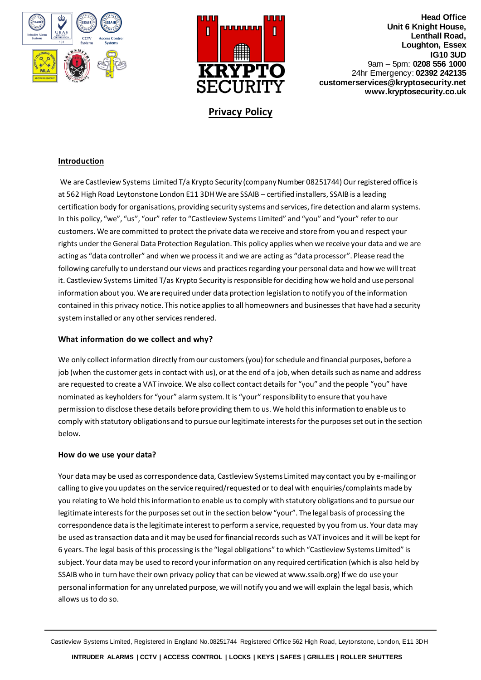



# **Privacy Policy**

# **Introduction**

We are Castleview Systems Limited T/a Krypto Security (company Number 08251744) Our registered office is at 562 High Road Leytonstone London E11 3DH We are SSAIB – certified installers, SSAIB is a leading certification body for organisations, providing security systems and services, fire detection and alarm systems. In this policy, "we", "us", "our" refer to "Castleview Systems Limited" and "you" and "your" refer to our customers. We are committed to protect the private data we receive and store from you and respect your rights under the General Data Protection Regulation. This policy applies when we receive your data and we are acting as "data controller" and when we process it and we are acting as "data processor". Please read the following carefully to understand our views and practices regarding your personal data and how we will treat it. Castleview Systems Limited T/as Krypto Security is responsible for deciding how we hold and use personal information about you. We are required under data protection legislation to notify you of the information contained in this privacy notice. This notice applies to all homeowners and businesses that have had a security system installed or any other services rendered.

## **What information do we collect and why?**

We only collect information directly from our customers (you) for schedule and financial purposes, before a job (when the customer gets in contact with us), or at the end of a job, when details such as name and address are requested to create a VAT invoice. We also collect contact details for "you" and the people "you" have nominated as keyholders for "your" alarm system. It is "your" responsibility to ensure that you have permission to disclose these details before providing them to us. We hold this information to enable us to comply with statutory obligations and to pursue our legitimate interests for the purposes set out in the section below.

#### **How do we use your data?**

Your data may be used as correspondence data, Castleview Systems Limited may contact you by e-mailing or calling to give you updates on the service required/requested or to deal with enquiries/complaints made by you relating to We hold this information to enable us to comply with statutory obligations and to pursue our legitimate interests for the purposes set out in the section below "your". The legal basis of processing the correspondence data is the legitimate interest to perform a service, requested by you from us. Your data may be used as transaction data and it may be used for financial records such as VAT invoices and it will be kept for 6 years. The legal basis of this processing is the "legal obligations" to which "Castleview Systems Limited" is subject. Your data may be used to record your information on any required certification (which is also held by SSAIB who in turn have their own privacy policy that can be viewed at www.ssaib.org) If we do use your personal information for any unrelated purpose, we will notify you and we will explain the legal basis, which allows us to do so.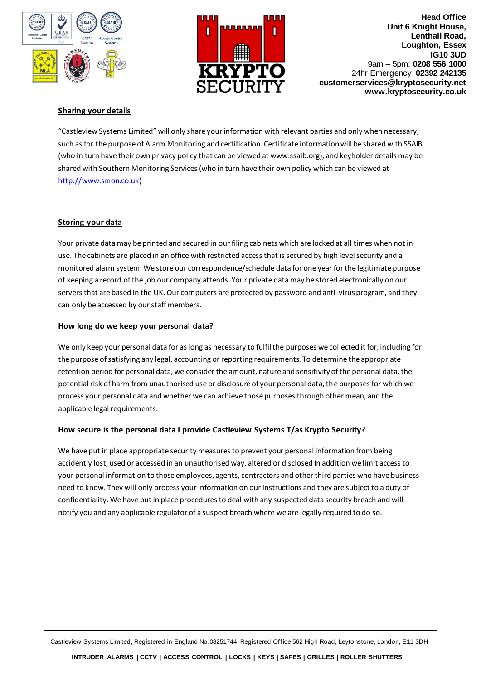



## **Sharing your details**

"Castleview Systems Limited" will only share your information with relevant parties and only when necessary, such as for the purpose of Alarm Monitoring and certification. Certificate information will be shared with SSAIB (who in turn have their own privacy policy that can be viewed at www.ssaib.org), and keyholder details may be shared with Southern Monitoring Services (who in turn have their own policy which can be viewed at [http://www.smon.co.uk\)](http://www.smon.co.uk/)

## **Storing your data**

Your private data may be printed and secured in our filing cabinets which are locked at all times when not in use. The cabinets are placed in an office with restricted access that is secured by high level security and a monitored alarm system. We store our correspondence/schedule data for one year for the legitimate purpose of keeping a record of the job our company attends. Your private data may be stored electronically on our servers that are based in the UK. Our computers are protected by password and anti-virus program, and they can only be accessed by our staff members.

## **How long do we keep your personal data?**

We only keep your personal data for as long as necessary to fulfil the purposes we collected it for, including for the purpose of satisfying any legal, accounting or reporting requirements. To determine the appropriate retention period for personal data, we consider the amount, nature and sensitivity of the personal data, the potential risk of harm from unauthorised use or disclosure of your personal data, the purposes for which we process your personal data and whether we can achieve those purposes through other mean, and the applicable legal requirements.

#### **How secure is the personal data I provide Castleview Systems T/as Krypto Security?**

We have put in place appropriate security measures to prevent your personal information from being accidently lost, used or accessed in an unauthorised way, altered or disclosed In addition we limit access to your personal information to those employees, agents, contractors and other third parties who have business need to know. They will only process your information on our instructions and they are subject to a duty of confidentiality. We have put in place procedures to deal with any suspected data security breach and will notify you and any applicable regulator of a suspect breach where we are legally required to do so.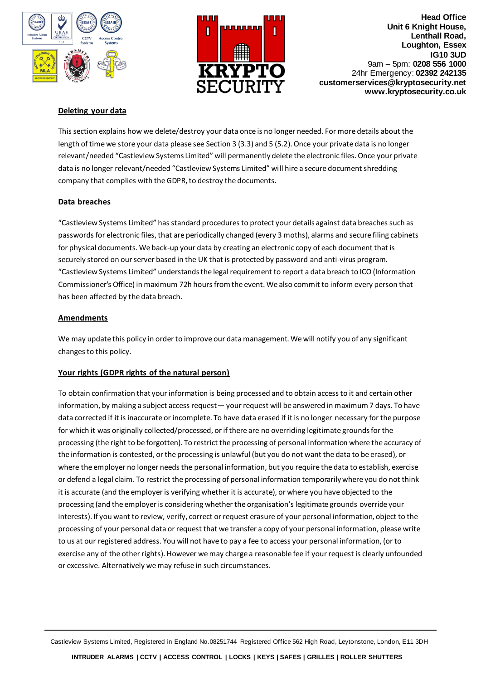



## **Deleting your data**

This section explains how we delete/destroy your data once is no longer needed. For more details about the length of time we store your data please see Section 3 (3.3) and 5 (5.2). Once your private data is no longer relevant/needed "Castleview Systems Limited" will permanently delete the electronic files. Once your private data is no longer relevant/needed "Castleview Systems Limited" will hire a secure document shredding company that complies with the GDPR, to destroy the documents.

#### **Data breaches**

"Castleview Systems Limited" has standard procedures to protect your details against data breaches such as passwords for electronic files, that are periodically changed (every 3 moths), alarms and secure filing cabinets for physical documents. We back-up your data by creating an electronic copy of each document that is securely stored on our server based in the UK that is protected by password and anti-virus program. "Castleview Systems Limited" understands the legal requirement to report a data breach to ICO (Information Commissioner's Office) in maximum 72h hours from the event. We also commit to inform every person that has been affected by the data breach.

#### **Amendments**

We may update this policy in order to improve our data management. We will notify you of any significant changes to this policy.

#### **Your rights (GDPR rights of the natural person)**

To obtain confirmation that your information is being processed and to obtain access to it and certain other information, by making a subject access request— your request will be answered in maximum 7 days. To have data corrected if it is inaccurate or incomplete. To have data erased if it is no longer necessary for the purpose for which it was originally collected/processed, or if there are no overriding legitimate grounds for the processing (the right to be forgotten). To restrict the processing of personal information where the accuracy of the information is contested, or the processing is unlawful (but you do not want the data to be erased), or where the employer no longer needs the personal information, but you require the data to establish, exercise or defend a legal claim. To restrict the processing of personal information temporarily where you do not think it is accurate (and the employer is verifying whether it is accurate), or where you have objected to the processing (and the employer is considering whether the organisation's legitimate grounds override your interests). If you want to review, verify, correct or request erasure of your personal information, object to the processing of your personal data or request that we transfer a copy of your personal information, please write to us at our registered address. You will not have to pay a fee to access your personal information, (or to exercise any of the other rights). However we may charge a reasonable fee if your request is clearly unfounded or excessive. Alternatively we may refuse in such circumstances.